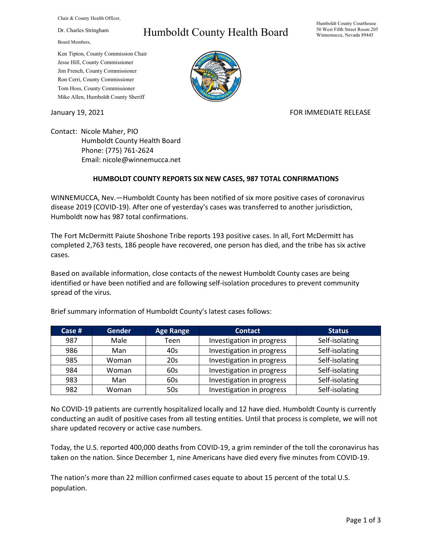Chair & County Health Officer,

Dr. Charles Stringham

Board Members,

## Ken Tipton, County Commission Chair Jesse Hill, County Commissioner Jim French, County Commissioner Ron Cerri, County Commissioner Tom Hoss, County Commissioner Mike Allen, Humboldt County Sheriff

## Humboldt County Health Board



## January 19, 2021 **FOR IMMEDIATE RELEASE**

Contact: Nicole Maher, PIO Humboldt County Health Board Phone: (775) 761-2624 Email: nicole@winnemucca.net

## **HUMBOLDT COUNTY REPORTS SIX NEW CASES, 987 TOTAL CONFIRMATIONS**

WINNEMUCCA, Nev.—Humboldt County has been notified of six more positive cases of coronavirus disease 2019 (COVID-19). After one of yesterday's cases was transferred to another jurisdiction, Humboldt now has 987 total confirmations.

The Fort McDermitt Paiute Shoshone Tribe reports 193 positive cases. In all, Fort McDermitt has completed 2,763 tests, 186 people have recovered, one person has died, and the tribe has six active cases.

Based on available information, close contacts of the newest Humboldt County cases are being identified or have been notified and are following self-isolation procedures to prevent community spread of the virus.

| Case $#$ | <b>Gender</b> | <b>Age Range</b> | <b>Contact</b>            | <b>Status</b>  |
|----------|---------------|------------------|---------------------------|----------------|
| 987      | Male          | Teen             | Investigation in progress | Self-isolating |
| 986      | Man           | 40s              | Investigation in progress | Self-isolating |
| 985      | Woman         | 20s              | Investigation in progress | Self-isolating |
| 984      | Woman         | 60s              | Investigation in progress | Self-isolating |
| 983      | Man           | 60s              | Investigation in progress | Self-isolating |
| 982      | Woman         | 50s              | Investigation in progress | Self-isolating |

Brief summary information of Humboldt County's latest cases follows:

No COVID-19 patients are currently hospitalized locally and 12 have died. Humboldt County is currently conducting an audit of positive cases from all testing entities. Until that process is complete, we will not share updated recovery or active case numbers.

Today, the U.S. reported 400,000 deaths from COVID-19, a grim reminder of the toll the coronavirus has taken on the nation. Since December 1, nine Americans have died every five minutes from COVID-19.

The nation's more than 22 million confirmed cases equate to about 15 percent of the total U.S. population.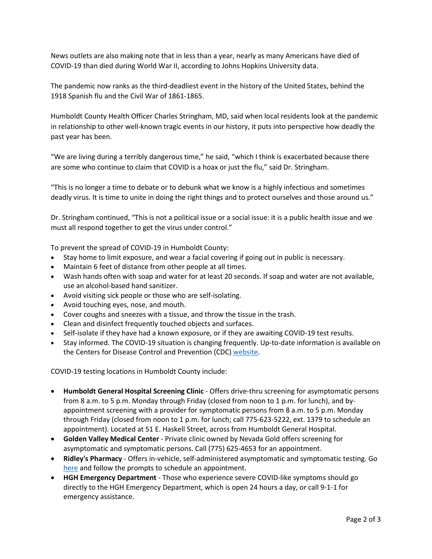News outlets are also making note that in less than a year, nearly as many Americans have died of COVID-19 than died during World War II, according to Johns Hopkins University data.

The pandemic now ranks as the third-deadliest event in the history of the United States, behind the 1918 Spanish flu and the Civil War of 1861-1865.

Humboldt County Health Officer Charles Stringham, MD, said when local residents look at the pandemic in relationship to other well-known tragic events in our history, it puts into perspective how deadly the past year has been.

"We are living during a terribly dangerous time," he said, "which I think is exacerbated because there are some who continue to claim that COVID is a hoax or just the flu," said Dr. Stringham.

"This is no longer a time to debate or to debunk what we know is a highly infectious and sometimes deadly virus. It is time to unite in doing the right things and to protect ourselves and those around us."

Dr. Stringham continued, "This is not a political issue or a social issue: it is a public health issue and we must all respond together to get the virus under control."

To prevent the spread of COVID-19 in Humboldt County:

- Stay home to limit exposure, and wear a facial covering if going out in public is necessary.
- Maintain 6 feet of distance from other people at all times.
- Wash hands often with soap and water for at least 20 seconds. If soap and water are not available, use an alcohol-based hand sanitizer.
- Avoid visiting sick people or those who are self-isolating.
- Avoid touching eyes, nose, and mouth.
- Cover coughs and sneezes with a tissue, and throw the tissue in the trash.
- Clean and disinfect frequently touched objects and surfaces.
- Self-isolate if they have had a known exposure, or if they are awaiting COVID-19 test results.
- Stay informed. The COVID-19 situation is changing frequently. Up-to-date information is available on the Centers for Disease Control and Prevention (CDC) [website.](http://www.cdc.gov/coronavirus/2019-ncov/index.html)

COVID-19 testing locations in Humboldt County include:

- **Humboldt General Hospital Screening Clinic** Offers drive-thru screening for asymptomatic persons from 8 a.m. to 5 p.m. Monday through Friday (closed from noon to 1 p.m. for lunch), and byappointment screening with a provider for symptomatic persons from 8 a.m. to 5 p.m. Monday through Friday (closed from noon to 1 p.m. for lunch; call 775-623-5222, ext. 1379 to schedule an appointment). Located at 51 E. Haskell Street, across from Humboldt General Hospital.
- **Golden Valley Medical Center** Private clinic owned by Nevada Gold offers screening for asymptomatic and symptomatic persons. Call (775) 625-4653 for an appointment.
- **Ridley's Pharmacy** Offers in-vehicle, self-administered asymptomatic and symptomatic testing. Go [here](https://www.doineedacovid19test.com/Winnemucca_NV_1098.html) and follow the prompts to schedule an appointment.
- **HGH Emergency Department**  Those who experience severe COVID-like symptoms should go directly to the HGH Emergency Department, which is open 24 hours a day, or call 9-1-1 for emergency assistance.